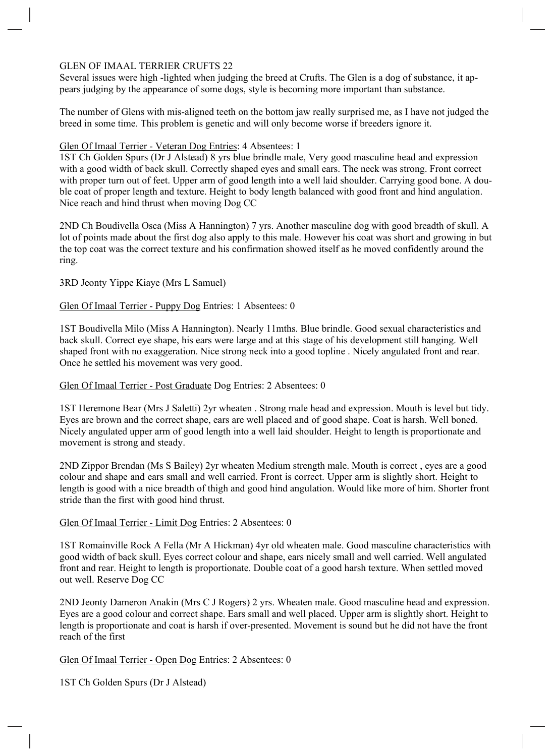# GLEN OF IMAAL TERRIER CRUFTS 22

Several issues were high -lighted when judging the breed at Crufts. The Glen is a dog of substance, it ap pears judging by the appearance of some dogs, style is becoming more important than substance.

The number of Glens with mis-aligned teeth on the bottom jaw really surprised me, as I have not judged the breed in some time. This problem is genetic and will only become worse if breeders ignore it.

### Glen Of Imaal Terrier - Veteran Dog Entries: 4 Absentees: 1

1ST Ch Golden Spurs (Dr J Alstead) 8 yrs blue brindle male, Very good masculine head and expression with a good width of back skull. Correctly shaped eyes and small ears. The neck was strong. Front correct with proper turn out of feet. Upper arm of good length into a well laid shoulder. Carrying good bone. A dou ble coat of proper length and texture. Height to body length balanced with good front and hind angulation. Nice reach and hind thrust when moving Dog CC

2ND Ch Boudivella Osca (Miss A Hannington) 7 yrs. Another masculine dog with good breadth of skull. A lot of points made about the first dog also apply to this male. However his coat was short and growing in but the top coat was the correct texture and his confirmation showed itself as he moved confidently around the ring.

### 3RD Jeonty Yippe Kiaye (Mrs L Samuel)

### Glen Of Imaal Terrier - Puppy Dog Entries: 1 Absentees: 0

1ST Boudivella Milo (Miss A Hannington). Nearly 11mths. Blue brindle. Good sexual characteristics and back skull. Correct eye shape, his ears were large and at this stage of his development still hanging. Well shaped front with no exaggeration. Nice strong neck into a good topline . Nicely angulated front and rear. Once he settled his movement was very good.

#### Glen Of Imaal Terrier - Post Graduate Dog Entries: 2 Absentees: 0

1ST Heremone Bear (Mrs J Saletti) 2yr wheaten . Strong male head and expression. Mouth is level but tidy. Eyes are brown and the correct shape, ears are well placed and of good shape. Coat is harsh. Well boned. Nicely angulated upper arm of good length into a well laid shoulder. Height to length is proportionate and movement is strong and steady.

2ND Zippor Brendan (Ms S Bailey) 2yr wheaten Medium strength male. Mouth is correct , eyes are a good colour and shape and ears small and well carried. Front is correct. Upper arm is slightly short. Height to length is good with a nice breadth of thigh and good hind angulation. Would like more of him. Shorter front stride than the first with good hind thrust.

# Glen Of Imaal Terrier - Limit Dog Entries: 2 Absentees: 0

1ST Romainville Rock A Fella (Mr A Hickman) 4yr old wheaten male. Good masculine characteristics with good width of back skull. Eyes correct colour and shape, ears nicely small and well carried. Well angulated front and rear. Height to length is proportionate. Double coat of a good harsh texture. When settled moved out well. Reserve Dog CC

2ND Jeonty Dameron Anakin (Mrs C J Rogers) 2 yrs. Wheaten male. Good masculine head and expression. Eyes are a good colour and correct shape. Ears small and well placed. Upper arm is slightly short. Height to length is proportionate and coat is harsh if over-presented. Movement is sound but he did not have the front reach of the first

Glen Of Imaal Terrier - Open Dog Entries: 2 Absentees: 0

1ST Ch Golden Spurs (Dr J Alstead)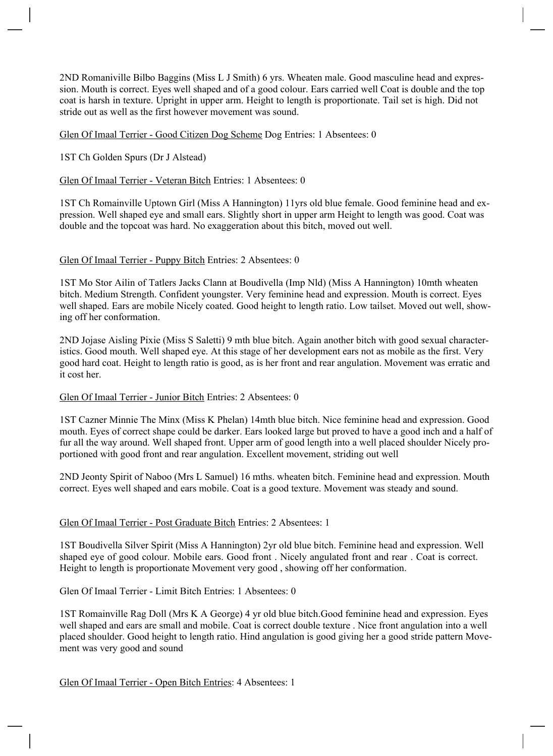2ND Romaniville Bilbo Baggins (Miss L J Smith) 6 yrs. Wheaten male. Good masculine head and expres sion. Mouth is correct. Eyes well shaped and of a good colour. Ears carried well Coat is double and the top coat is harsh in texture. Upright in upper arm. Height to length is proportionate. Tail set is high. Did not stride out as well as the first however movement was sound.

Glen Of Imaal Terrier - Good Citizen Dog Scheme Dog Entries: 1 Absentees: 0

1ST Ch Golden Spurs (Dr J Alstead)

Glen Of Imaal Terrier - Veteran Bitch Entries: 1 Absentees: 0

1ST Ch Romainville Uptown Girl (Miss A Hannington) 11yrs old blue female. Good feminine head and ex pression. Well shaped eye and small ears. Slightly short in upper arm Height to length was good. Coat was double and the topcoat was hard. No exaggeration about this bitch, moved out well.

### Glen Of Imaal Terrier - Puppy Bitch Entries: 2 Absentees: 0

1ST Mo Stor Ailin of Tatlers Jacks Clann at Boudivella (Imp Nld) (Miss A Hannington) 10mth wheaten bitch. Medium Strength. Confident youngster. Very feminine head and expression. Mouth is correct. Eyes well shaped. Ears are mobile Nicely coated. Good height to length ratio. Low tailset. Moved out well, show ing off her conformation.

2ND Jojase Aisling Pixie (Miss S Saletti) 9 mth blue bitch. Again another bitch with good sexual character istics. Good mouth. Well shaped eye. At this stage of her development ears not as mobile as the first. Very good hard coat. Height to length ratio is good, as is her front and rear angulation. Movement was erratic and it cost her.

# Glen Of Imaal Terrier - Junior Bitch Entries: 2 Absentees: 0

1ST Cazner Minnie The Minx (Miss K Phelan) 14mth blue bitch. Nice feminine head and expression. Good mouth. Eyes of correct shape could be darker. Ears looked large but proved to have a good inch and a half of fur all the way around. Well shaped front. Upper arm of good length into a well placed shoulder Nicely pro portioned with good front and rear angulation. Excellent movement, striding out well

2ND Jeonty Spirit of Naboo (Mrs L Samuel) 16 mths. wheaten bitch. Feminine head and expression. Mouth correct. Eyes well shaped and ears mobile. Coat is a good texture. Movement was steady and sound.

# Glen Of Imaal Terrier - Post Graduate Bitch Entries: 2 Absentees: 1

1ST Boudivella Silver Spirit (Miss A Hannington) 2yr old blue bitch. Feminine head and expression. Well shaped eye of good colour. Mobile ears. Good front . Nicely angulated front and rear . Coat is correct. Height to length is proportionate Movement very good , showing off her conformation.

Glen Of Imaal Terrier - Limit Bitch Entries: 1 Absentees: 0

1ST Romainville Rag Doll (Mrs K A George) 4 yr old blue bitch.Good feminine head and expression. Eyes well shaped and ears are small and mobile. Coat is correct double texture . Nice front angulation into a well placed shoulder. Good height to length ratio. Hind angulation is good giving her a good stride pattern Move ment was very good and sound

Glen Of Imaal Terrier - Open Bitch Entries: 4 Absentees: 1